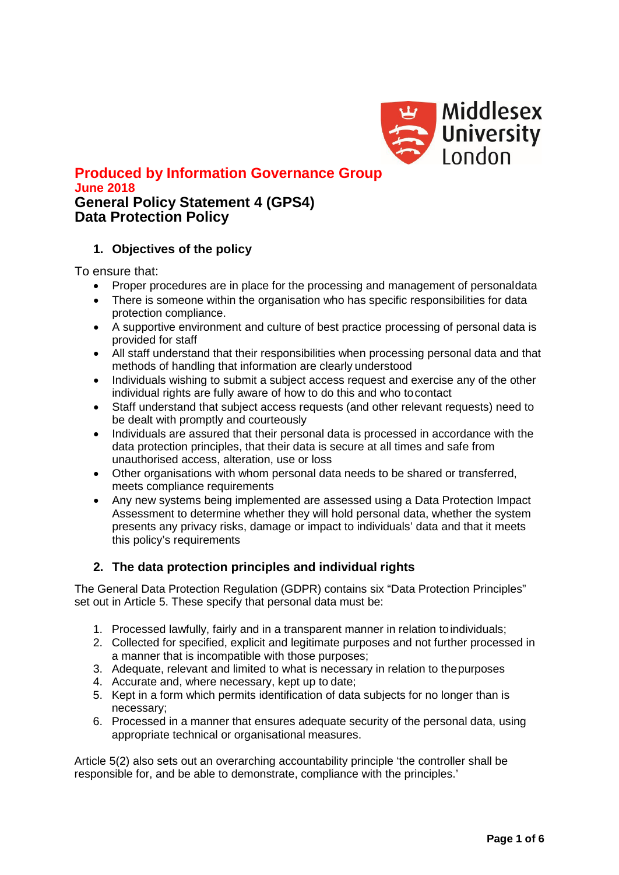

## **Produced by Information Governance Group June 2018 General Policy Statement 4 (GPS4) Data Protection Policy**

# **1. Objectives of the policy**

To ensure that:

- Proper procedures are in place for the processing and management of personaldata
- There is someone within the organisation who has specific responsibilities for data protection compliance.
- A supportive environment and culture of best practice processing of personal data is provided for staff
- All staff understand that their responsibilities when processing personal data and that methods of handling that information are clearly understood
- Individuals wishing to submit a subject access request and exercise any of the other individual rights are fully aware of how to do this and who tocontact
- Staff understand that subject access requests (and other relevant requests) need to be dealt with promptly and courteously
- Individuals are assured that their personal data is processed in accordance with the data protection principles, that their data is secure at all times and safe from unauthorised access, alteration, use or loss
- Other organisations with whom personal data needs to be shared or transferred, meets compliance requirements
- Any new systems being implemented are assessed using a Data Protection Impact Assessment to determine whether they will hold personal data, whether the system presents any privacy risks, damage or impact to individuals' data and that it meets this policy's requirements

## **2. The data protection principles and individual rights**

The General Data Protection Regulation (GDPR) contains six "Data Protection Principles" set out in Article 5. These specify that personal data must be:

- 1. Processed lawfully, fairly and in a transparent manner in relation toindividuals;
- 2. Collected for specified, explicit and legitimate purposes and not further processed in a manner that is incompatible with those purposes;
- 3. Adequate, relevant and limited to what is necessary in relation to thepurposes
- 4. Accurate and, where necessary, kept up to date;
- 5. Kept in a form which permits identification of data subjects for no longer than is necessary;
- 6. Processed in a manner that ensures adequate security of the personal data, using appropriate technical or organisational measures.

Article 5(2) also sets out an overarching accountability principle 'the controller shall be responsible for, and be able to demonstrate, compliance with the principles.'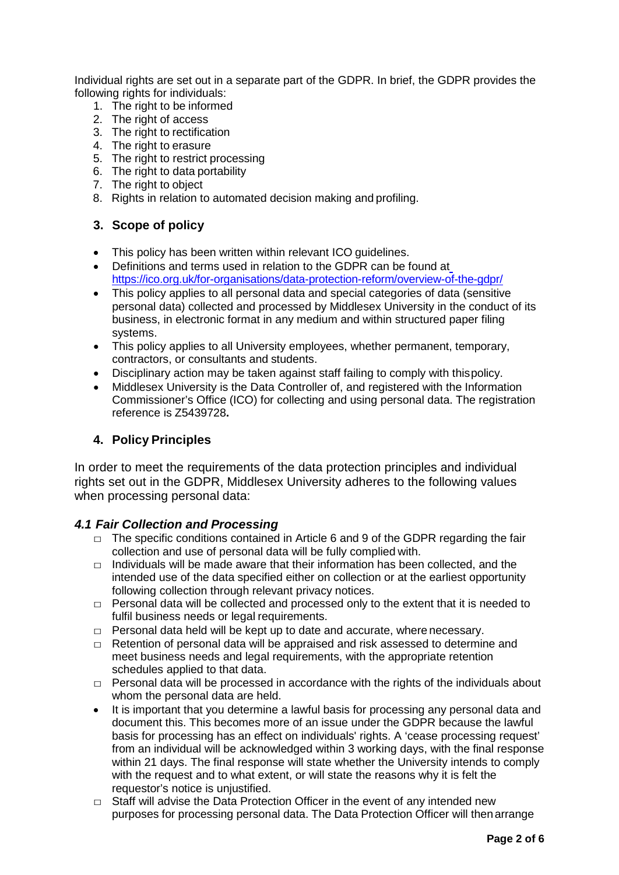Individual rights are set out in a separate part of the GDPR. In brief, the GDPR provides the following rights for individuals:

- 1. The right to be informed
- 2. The right of access
- 3. The right to rectification
- 4. The right to erasure
- 5. The right to restrict processing
- 6. The right to data portability
- 7. The right to object
- 8. Rights in relation to automated decision making and profiling.

## **3. Scope of policy**

- This policy has been written within relevant ICO quidelines.
- Definitions and terms used in relation to the GDPR can be found a[t](https://ico.org.uk/for-organisations/data-protection-reform/overview-of-the-gdpr/) <https://ico.org.uk/for-organisations/data-protection-reform/overview-of-the-gdpr/>
- This policy applies to all personal data and special categories of data (sensitive personal data) collected and processed by Middlesex University in the conduct of its business, in electronic format in any medium and within structured paper filing systems.
- This policy applies to all University employees, whether permanent, temporary, contractors, or consultants and students.
- Disciplinary action may be taken against staff failing to comply with thispolicy.
- Middlesex University is the Data Controller of, and registered with the Information Commissioner's Office (ICO) for collecting and using personal data. The registration reference is Z5439728**.**

# **4. Policy Principles**

In order to meet the requirements of the data protection principles and individual rights set out in the GDPR, Middlesex University adheres to the following values when processing personal data:

## *4.1 Fair Collection and Processing*

- $\Box$  The specific conditions contained in Article 6 and 9 of the GDPR regarding the fair collection and use of personal data will be fully complied with.
- $\Box$  Individuals will be made aware that their information has been collected, and the intended use of the data specified either on collection or at the earliest opportunity following collection through relevant privacy notices.
- $\Box$  Personal data will be collected and processed only to the extent that it is needed to fulfil business needs or legal requirements.
- $\Box$  Personal data held will be kept up to date and accurate, where necessary.
- □ Retention of personal data will be appraised and risk assessed to determine and meet business needs and legal requirements, with the appropriate retention schedules applied to that data.
- $\Box$  Personal data will be processed in accordance with the rights of the individuals about whom the personal data are held.
- It is important that you determine a lawful basis for processing any personal data and document this. This becomes more of an issue under the GDPR because the lawful basis for processing has an effect on individuals' rights. A 'cease processing request' from an individual will be acknowledged within 3 working days, with the final response within 21 days. The final response will state whether the University intends to comply with the request and to what extent, or will state the reasons why it is felt the requestor's notice is unjustified.
- $\Box$  Staff will advise the Data Protection Officer in the event of any intended new purposes for processing personal data. The Data Protection Officer will thenarrange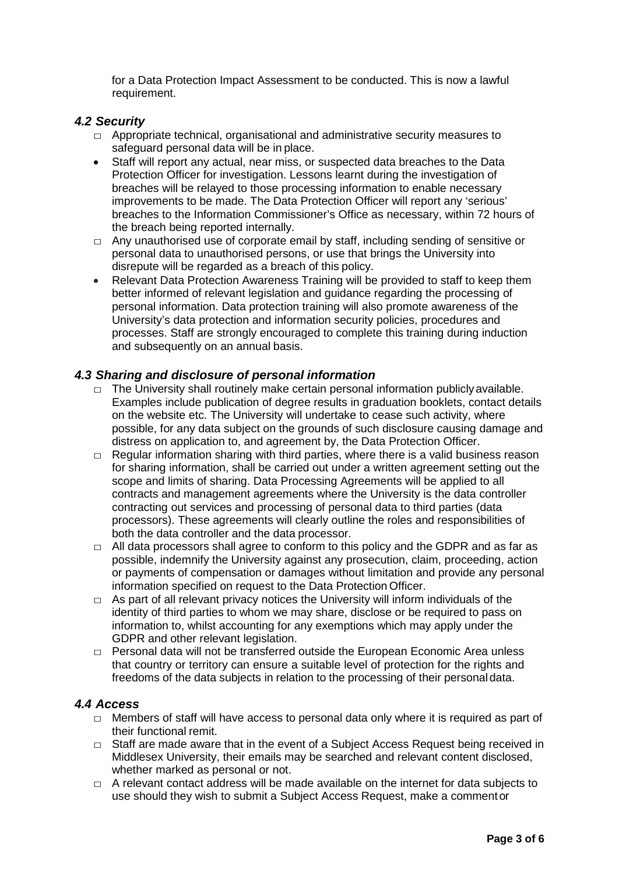for a Data Protection Impact Assessment to be conducted. This is now a lawful requirement.

## *4.2 Security*

- $\Box$  Appropriate technical, organisational and administrative security measures to safeguard personal data will be in place.
- Staff will report any actual, near miss, or suspected data breaches to the Data Protection Officer for investigation. Lessons learnt during the investigation of breaches will be relayed to those processing information to enable necessary improvements to be made. The Data Protection Officer will report any 'serious' breaches to the Information Commissioner's Office as necessary, within 72 hours of the breach being reported internally.
- $\Box$  Any unauthorised use of corporate email by staff, including sending of sensitive or personal data to unauthorised persons, or use that brings the University into disrepute will be regarded as a breach of this policy.
- Relevant Data Protection Awareness Training will be provided to staff to keep them better informed of relevant legislation and guidance regarding the processing of personal information. Data protection training will also promote awareness of the University's data protection and information security policies, procedures and processes. Staff are strongly encouraged to complete this training during induction and subsequently on an annual basis.

## *4.3 Sharing and disclosure of personal information*

- $\Box$  The University shall routinely make certain personal information publicly available. Examples include publication of degree results in graduation booklets, contact details on the website etc. The University will undertake to cease such activity, where possible, for any data subject on the grounds of such disclosure causing damage and distress on application to, and agreement by, the Data Protection Officer.
- $\Box$  Regular information sharing with third parties, where there is a valid business reason for sharing information, shall be carried out under a written agreement setting out the scope and limits of sharing. Data Processing Agreements will be applied to all contracts and management agreements where the University is the data controller contracting out services and processing of personal data to third parties (data processors). These agreements will clearly outline the roles and responsibilities of both the data controller and the data processor.
- $\Box$  All data processors shall agree to conform to this policy and the GDPR and as far as possible, indemnify the University against any prosecution, claim, proceeding, action or payments of compensation or damages without limitation and provide any personal information specified on request to the Data Protection Officer.
- $\Box$  As part of all relevant privacy notices the University will inform individuals of the identity of third parties to whom we may share, disclose or be required to pass on information to, whilst accounting for any exemptions which may apply under the GDPR and other relevant legislation.
- $\Box$  Personal data will not be transferred outside the European Economic Area unless that country or territory can ensure a suitable level of protection for the rights and freedoms of the data subjects in relation to the processing of their personaldata.

## *4.4 Access*

- $\Box$  Members of staff will have access to personal data only where it is required as part of their functional remit.
- $\Box$  Staff are made aware that in the event of a Subject Access Request being received in Middlesex University, their emails may be searched and relevant content disclosed, whether marked as personal or not.
- $\Box$  A relevant contact address will be made available on the internet for data subjects to use should they wish to submit a Subject Access Request, make a commentor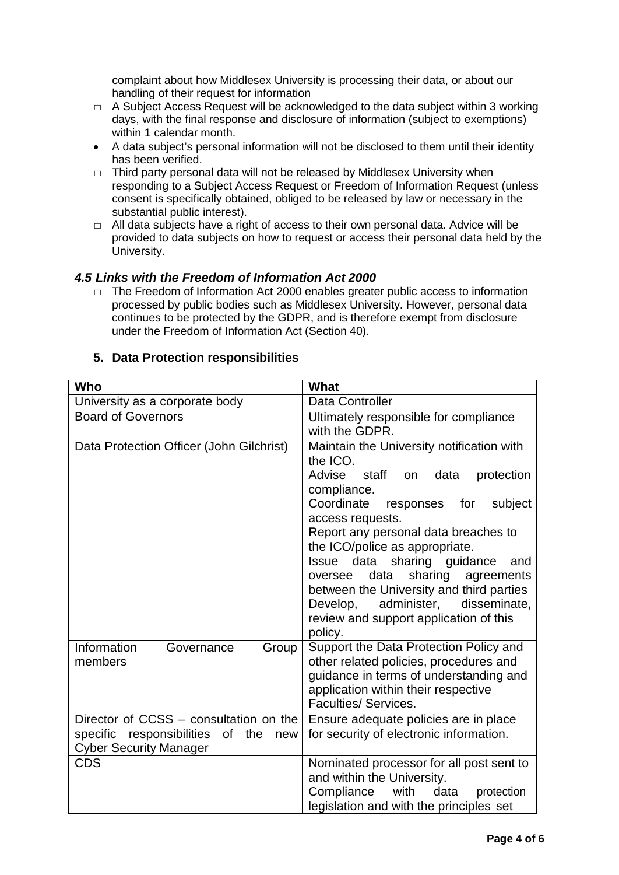complaint about how Middlesex University is processing their data, or about our handling of their request for information

- $\Box$  A Subject Access Request will be acknowledged to the data subject within 3 working days, with the final response and disclosure of information (subject to exemptions) within 1 calendar month.
- A data subiect's personal information will not be disclosed to them until their identity has been verified.
- $\Box$  Third party personal data will not be released by Middlesex University when responding to a Subject Access Request or Freedom of Information Request (unless consent is specifically obtained, obliged to be released by law or necessary in the substantial public interest).
- $\Box$  All data subjects have a right of access to their own personal data. Advice will be provided to data subjects on how to request or access their personal data held by the University.

## *4.5 Links with the Freedom of Information Act 2000*

 $\Box$  The Freedom of Information Act 2000 enables greater public access to information processed by public bodies such as Middlesex University. However, personal data continues to be protected by the GDPR, and is therefore exempt from disclosure under the Freedom of Information Act (Section 40).

# **5. Data Protection responsibilities**

| Who                                                                                                                   | <b>What</b>                                                                                                                                                                                                                                                                                                                                                                                                                                                                                         |
|-----------------------------------------------------------------------------------------------------------------------|-----------------------------------------------------------------------------------------------------------------------------------------------------------------------------------------------------------------------------------------------------------------------------------------------------------------------------------------------------------------------------------------------------------------------------------------------------------------------------------------------------|
| University as a corporate body                                                                                        | <b>Data Controller</b>                                                                                                                                                                                                                                                                                                                                                                                                                                                                              |
| <b>Board of Governors</b>                                                                                             | Ultimately responsible for compliance<br>with the GDPR.                                                                                                                                                                                                                                                                                                                                                                                                                                             |
| Data Protection Officer (John Gilchrist)                                                                              | Maintain the University notification with<br>the ICO.<br><b>Advise</b><br>staff<br>data<br>protection<br>on<br>compliance.<br>Coordinate<br>responses<br>for<br>subject<br>access requests.<br>Report any personal data breaches to<br>the ICO/police as appropriate.<br>Issue data<br>sharing guidance<br>and<br>sharing<br>data<br>agreements<br>oversee<br>between the University and third parties<br>Develop, administer,<br>disseminate,<br>review and support application of this<br>policy. |
| Information<br>Group<br>Governance<br>members                                                                         | Support the Data Protection Policy and<br>other related policies, procedures and<br>guidance in terms of understanding and<br>application within their respective<br><b>Faculties/ Services.</b>                                                                                                                                                                                                                                                                                                    |
| Director of CCSS - consultation on the<br>specific responsibilities<br>of the<br>new<br><b>Cyber Security Manager</b> | Ensure adequate policies are in place<br>for security of electronic information.                                                                                                                                                                                                                                                                                                                                                                                                                    |
| CDS                                                                                                                   | Nominated processor for all post sent to<br>and within the University.<br>Compliance<br>with<br>data<br>protection<br>legislation and with the principles set                                                                                                                                                                                                                                                                                                                                       |